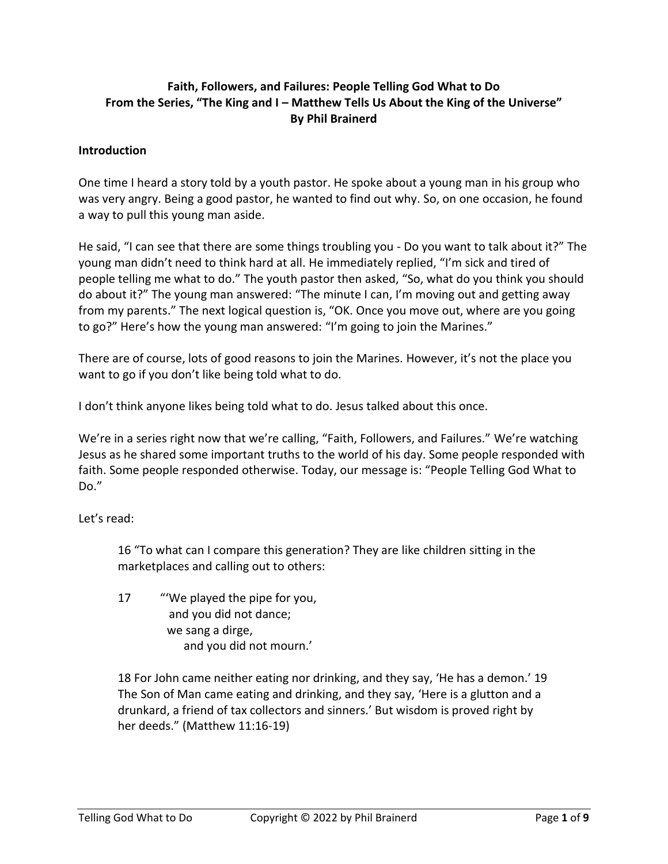# **Faith, Followers, and Failures: People Telling God What to Do From the Series, "The King and I – Matthew Tells Us About the King of the Universe" By Phil Brainerd**

#### **Introduction**

One time I heard a story told by a youth pastor. He spoke about a young man in his group who was very angry. Being a good pastor, he wanted to find out why. So, on one occasion, he found a way to pull this young man aside.

He said, "I can see that there are some things troubling you - Do you want to talk about it?" The young man didn't need to think hard at all. He immediately replied, "I'm sick and tired of people telling me what to do." The youth pastor then asked, "So, what do you think you should do about it?" The young man answered: "The minute I can, I'm moving out and getting away from my parents." The next logical question is, "OK. Once you move out, where are you going to go?" Here's how the young man answered: "I'm going to join the Marines."

There are of course, lots of good reasons to join the Marines. However, it's not the place you want to go if you don't like being told what to do.

I don't think anyone likes being told what to do. Jesus talked about this once.

We're in a series right now that we're calling, "Faith, Followers, and Failures." We're watching Jesus as he shared some important truths to the world of his day. Some people responded with faith. Some people responded otherwise. Today, our message is: "People Telling God What to Do."

Let's read:

16 "To what can I compare this generation? They are like children sitting in the marketplaces and calling out to others:

17 "'We played the pipe for you, and you did not dance; we sang a dirge, and you did not mourn.'

18 For John came neither eating nor drinking, and they say, 'He has a demon.' 19 The Son of Man came eating and drinking, and they say, 'Here is a glutton and a drunkard, a friend of tax collectors and sinners.' But wisdom is proved right by her deeds." (Matthew 11:16-19)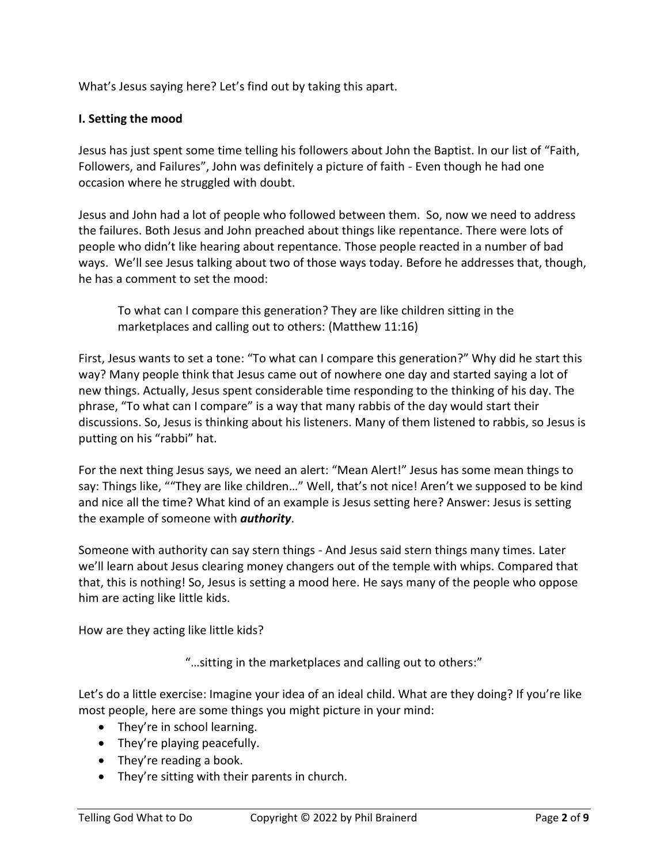What's Jesus saying here? Let's find out by taking this apart.

## **I. Setting the mood**

Jesus has just spent some time telling his followers about John the Baptist. In our list of "Faith, Followers, and Failures", John was definitely a picture of faith - Even though he had one occasion where he struggled with doubt.

Jesus and John had a lot of people who followed between them. So, now we need to address the failures. Both Jesus and John preached about things like repentance. There were lots of people who didn't like hearing about repentance. Those people reacted in a number of bad ways. We'll see Jesus talking about two of those ways today. Before he addresses that, though, he has a comment to set the mood:

To what can I compare this generation? They are like children sitting in the marketplaces and calling out to others: (Matthew 11:16)

First, Jesus wants to set a tone: "To what can I compare this generation?" Why did he start this way? Many people think that Jesus came out of nowhere one day and started saying a lot of new things. Actually, Jesus spent considerable time responding to the thinking of his day. The phrase, "To what can I compare" is a way that many rabbis of the day would start their discussions. So, Jesus is thinking about his listeners. Many of them listened to rabbis, so Jesus is putting on his "rabbi" hat.

For the next thing Jesus says, we need an alert: "Mean Alert!" Jesus has some mean things to say: Things like, ""They are like children…" Well, that's not nice! Aren't we supposed to be kind and nice all the time? What kind of an example is Jesus setting here? Answer: Jesus is setting the example of someone with *authority*.

Someone with authority can say stern things - And Jesus said stern things many times. Later we'll learn about Jesus clearing money changers out of the temple with whips. Compared that that, this is nothing! So, Jesus is setting a mood here. He says many of the people who oppose him are acting like little kids.

How are they acting like little kids?

"…sitting in the marketplaces and calling out to others:"

Let's do a little exercise: Imagine your idea of an ideal child. What are they doing? If you're like most people, here are some things you might picture in your mind:

- They're in school learning.
- They're playing peacefully.
- They're reading a book.
- They're sitting with their parents in church.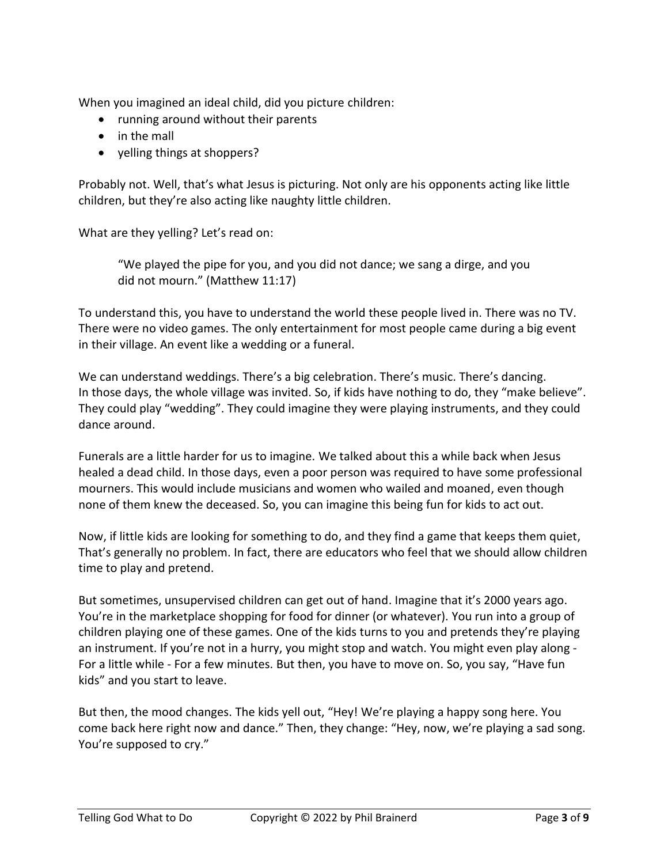When you imagined an ideal child, did you picture children:

- running around without their parents
- in the mall
- yelling things at shoppers?

Probably not. Well, that's what Jesus is picturing. Not only are his opponents acting like little children, but they're also acting like naughty little children.

What are they yelling? Let's read on:

"We played the pipe for you, and you did not dance; we sang a dirge, and you did not mourn." (Matthew 11:17)

To understand this, you have to understand the world these people lived in. There was no TV. There were no video games. The only entertainment for most people came during a big event in their village. An event like a wedding or a funeral.

We can understand weddings. There's a big celebration. There's music. There's dancing. In those days, the whole village was invited. So, if kids have nothing to do, they "make believe". They could play "wedding". They could imagine they were playing instruments, and they could dance around.

Funerals are a little harder for us to imagine. We talked about this a while back when Jesus healed a dead child. In those days, even a poor person was required to have some professional mourners. This would include musicians and women who wailed and moaned, even though none of them knew the deceased. So, you can imagine this being fun for kids to act out.

Now, if little kids are looking for something to do, and they find a game that keeps them quiet, That's generally no problem. In fact, there are educators who feel that we should allow children time to play and pretend.

But sometimes, unsupervised children can get out of hand. Imagine that it's 2000 years ago. You're in the marketplace shopping for food for dinner (or whatever). You run into a group of children playing one of these games. One of the kids turns to you and pretends they're playing an instrument. If you're not in a hurry, you might stop and watch. You might even play along - For a little while - For a few minutes. But then, you have to move on. So, you say, "Have fun kids" and you start to leave.

But then, the mood changes. The kids yell out, "Hey! We're playing a happy song here. You come back here right now and dance." Then, they change: "Hey, now, we're playing a sad song. You're supposed to cry."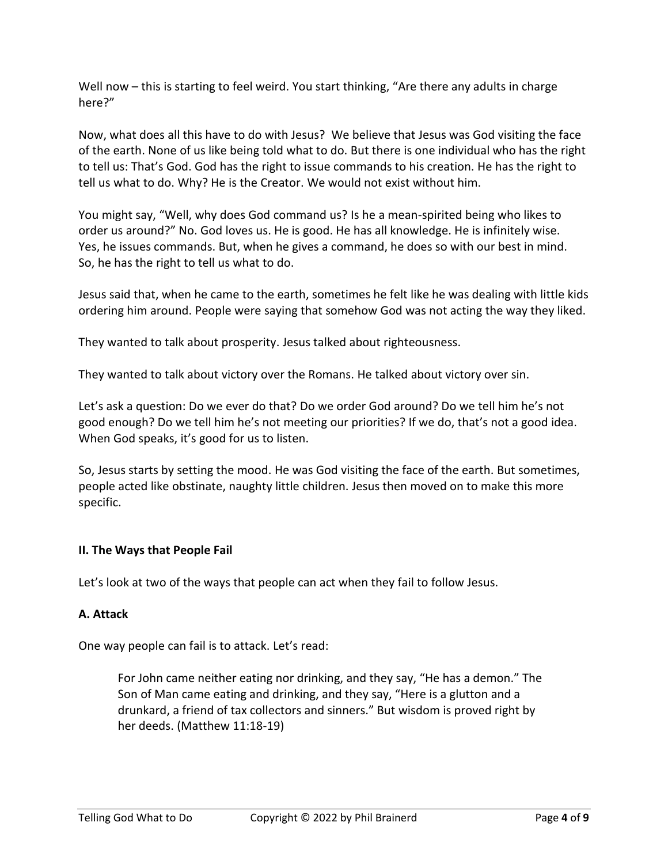Well now – this is starting to feel weird. You start thinking, "Are there any adults in charge here?"

Now, what does all this have to do with Jesus? We believe that Jesus was God visiting the face of the earth. None of us like being told what to do. But there is one individual who has the right to tell us: That's God. God has the right to issue commands to his creation. He has the right to tell us what to do. Why? He is the Creator. We would not exist without him.

You might say, "Well, why does God command us? Is he a mean-spirited being who likes to order us around?" No. God loves us. He is good. He has all knowledge. He is infinitely wise. Yes, he issues commands. But, when he gives a command, he does so with our best in mind. So, he has the right to tell us what to do.

Jesus said that, when he came to the earth, sometimes he felt like he was dealing with little kids ordering him around. People were saying that somehow God was not acting the way they liked.

They wanted to talk about prosperity. Jesus talked about righteousness.

They wanted to talk about victory over the Romans. He talked about victory over sin.

Let's ask a question: Do we ever do that? Do we order God around? Do we tell him he's not good enough? Do we tell him he's not meeting our priorities? If we do, that's not a good idea. When God speaks, it's good for us to listen.

So, Jesus starts by setting the mood. He was God visiting the face of the earth. But sometimes, people acted like obstinate, naughty little children. Jesus then moved on to make this more specific.

#### **II. The Ways that People Fail**

Let's look at two of the ways that people can act when they fail to follow Jesus.

#### **A. Attack**

One way people can fail is to attack. Let's read:

For John came neither eating nor drinking, and they say, "He has a demon." The Son of Man came eating and drinking, and they say, "Here is a glutton and a drunkard, a friend of tax collectors and sinners." But wisdom is proved right by her deeds. (Matthew 11:18-19)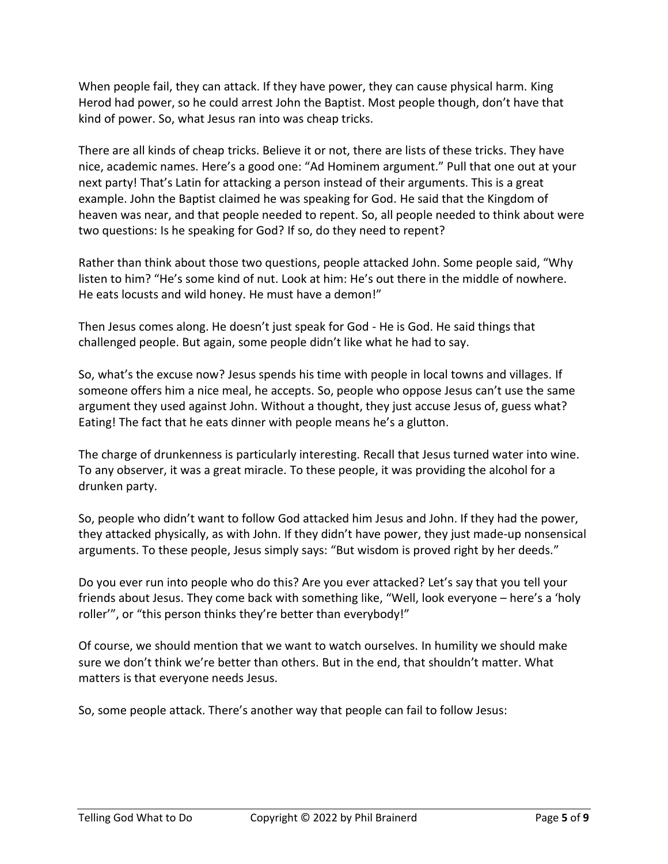When people fail, they can attack. If they have power, they can cause physical harm. King Herod had power, so he could arrest John the Baptist. Most people though, don't have that kind of power. So, what Jesus ran into was cheap tricks.

There are all kinds of cheap tricks. Believe it or not, there are lists of these tricks. They have nice, academic names. Here's a good one: "Ad Hominem argument." Pull that one out at your next party! That's Latin for attacking a person instead of their arguments. This is a great example. John the Baptist claimed he was speaking for God. He said that the Kingdom of heaven was near, and that people needed to repent. So, all people needed to think about were two questions: Is he speaking for God? If so, do they need to repent?

Rather than think about those two questions, people attacked John. Some people said, "Why listen to him? "He's some kind of nut. Look at him: He's out there in the middle of nowhere. He eats locusts and wild honey. He must have a demon!"

Then Jesus comes along. He doesn't just speak for God - He is God. He said things that challenged people. But again, some people didn't like what he had to say.

So, what's the excuse now? Jesus spends his time with people in local towns and villages. If someone offers him a nice meal, he accepts. So, people who oppose Jesus can't use the same argument they used against John. Without a thought, they just accuse Jesus of, guess what? Eating! The fact that he eats dinner with people means he's a glutton.

The charge of drunkenness is particularly interesting. Recall that Jesus turned water into wine. To any observer, it was a great miracle. To these people, it was providing the alcohol for a drunken party.

So, people who didn't want to follow God attacked him Jesus and John. If they had the power, they attacked physically, as with John. If they didn't have power, they just made-up nonsensical arguments. To these people, Jesus simply says: "But wisdom is proved right by her deeds."

Do you ever run into people who do this? Are you ever attacked? Let's say that you tell your friends about Jesus. They come back with something like, "Well, look everyone – here's a 'holy roller'", or "this person thinks they're better than everybody!"

Of course, we should mention that we want to watch ourselves. In humility we should make sure we don't think we're better than others. But in the end, that shouldn't matter. What matters is that everyone needs Jesus.

So, some people attack. There's another way that people can fail to follow Jesus: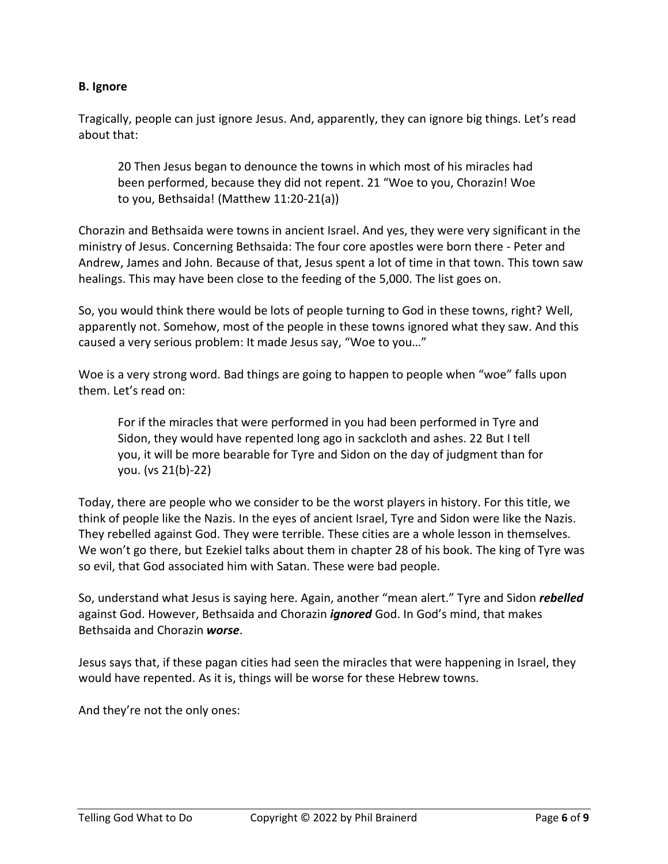## **B. Ignore**

Tragically, people can just ignore Jesus. And, apparently, they can ignore big things. Let's read about that:

20 Then Jesus began to denounce the towns in which most of his miracles had been performed, because they did not repent. 21 "Woe to you, Chorazin! Woe to you, Bethsaida! (Matthew 11:20-21(a))

Chorazin and Bethsaida were towns in ancient Israel. And yes, they were very significant in the ministry of Jesus. Concerning Bethsaida: The four core apostles were born there - Peter and Andrew, James and John. Because of that, Jesus spent a lot of time in that town. This town saw healings. This may have been close to the feeding of the 5,000. The list goes on.

So, you would think there would be lots of people turning to God in these towns, right? Well, apparently not. Somehow, most of the people in these towns ignored what they saw. And this caused a very serious problem: It made Jesus say, "Woe to you…"

Woe is a very strong word. Bad things are going to happen to people when "woe" falls upon them. Let's read on:

For if the miracles that were performed in you had been performed in Tyre and Sidon, they would have repented long ago in sackcloth and ashes. 22 But I tell you, it will be more bearable for Tyre and Sidon on the day of judgment than for you. (vs 21(b)-22)

Today, there are people who we consider to be the worst players in history. For this title, we think of people like the Nazis. In the eyes of ancient Israel, Tyre and Sidon were like the Nazis. They rebelled against God. They were terrible. These cities are a whole lesson in themselves. We won't go there, but Ezekiel talks about them in chapter 28 of his book. The king of Tyre was so evil, that God associated him with Satan. These were bad people.

So, understand what Jesus is saying here. Again, another "mean alert." Tyre and Sidon *rebelled* against God. However, Bethsaida and Chorazin *ignored* God. In God's mind, that makes Bethsaida and Chorazin *worse*.

Jesus says that, if these pagan cities had seen the miracles that were happening in Israel, they would have repented. As it is, things will be worse for these Hebrew towns.

And they're not the only ones: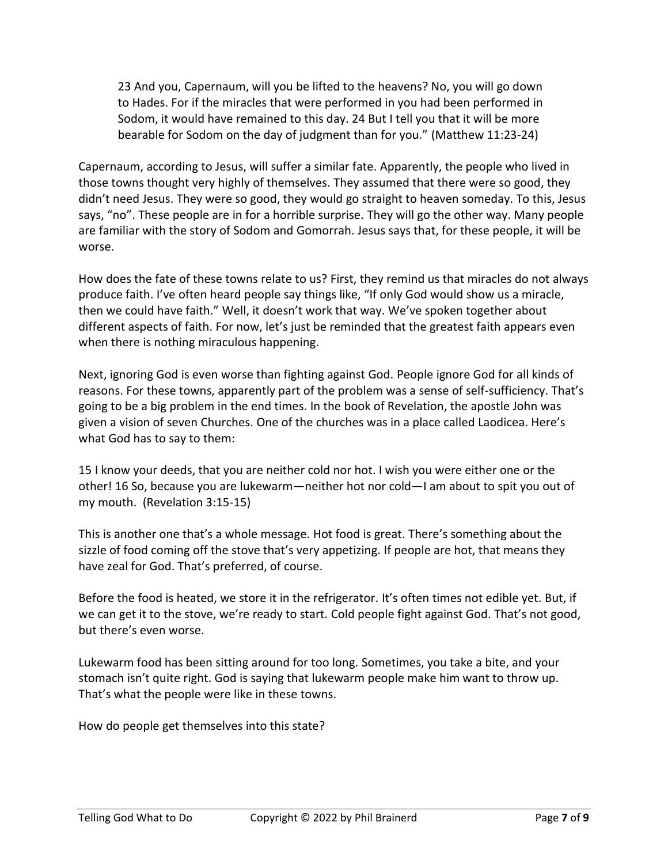23 And you, Capernaum, will you be lifted to the heavens? No, you will go down to Hades. For if the miracles that were performed in you had been performed in Sodom, it would have remained to this day. 24 But I tell you that it will be more bearable for Sodom on the day of judgment than for you." (Matthew 11:23-24)

Capernaum, according to Jesus, will suffer a similar fate. Apparently, the people who lived in those towns thought very highly of themselves. They assumed that there were so good, they didn't need Jesus. They were so good, they would go straight to heaven someday. To this, Jesus says, "no". These people are in for a horrible surprise. They will go the other way. Many people are familiar with the story of Sodom and Gomorrah. Jesus says that, for these people, it will be worse.

How does the fate of these towns relate to us? First, they remind us that miracles do not always produce faith. I've often heard people say things like, "If only God would show us a miracle, then we could have faith." Well, it doesn't work that way. We've spoken together about different aspects of faith. For now, let's just be reminded that the greatest faith appears even when there is nothing miraculous happening.

Next, ignoring God is even worse than fighting against God. People ignore God for all kinds of reasons. For these towns, apparently part of the problem was a sense of self-sufficiency. That's going to be a big problem in the end times. In the book of Revelation, the apostle John was given a vision of seven Churches. One of the churches was in a place called Laodicea. Here's what God has to say to them:

15 I know your deeds, that you are neither cold nor hot. I wish you were either one or the other! 16 So, because you are lukewarm—neither hot nor cold—I am about to spit you out of my mouth. (Revelation 3:15-15)

This is another one that's a whole message. Hot food is great. There's something about the sizzle of food coming off the stove that's very appetizing. If people are hot, that means they have zeal for God. That's preferred, of course.

Before the food is heated, we store it in the refrigerator. It's often times not edible yet. But, if we can get it to the stove, we're ready to start. Cold people fight against God. That's not good, but there's even worse.

Lukewarm food has been sitting around for too long. Sometimes, you take a bite, and your stomach isn't quite right. God is saying that lukewarm people make him want to throw up. That's what the people were like in these towns.

How do people get themselves into this state?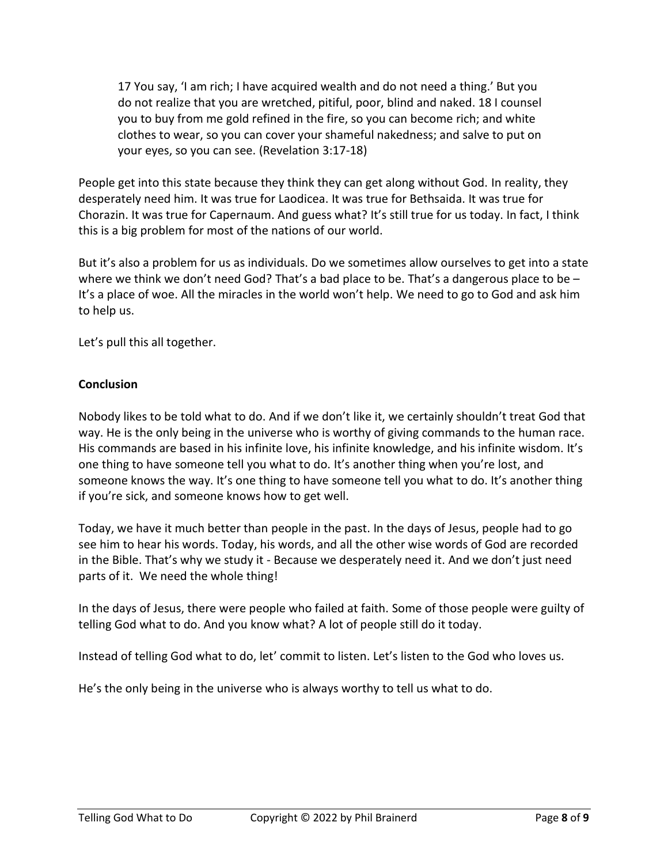17 You say, 'I am rich; I have acquired wealth and do not need a thing.' But you do not realize that you are wretched, pitiful, poor, blind and naked. 18 I counsel you to buy from me gold refined in the fire, so you can become rich; and white clothes to wear, so you can cover your shameful nakedness; and salve to put on your eyes, so you can see. (Revelation 3:17-18)

People get into this state because they think they can get along without God. In reality, they desperately need him. It was true for Laodicea. It was true for Bethsaida. It was true for Chorazin. It was true for Capernaum. And guess what? It's still true for us today. In fact, I think this is a big problem for most of the nations of our world.

But it's also a problem for us as individuals. Do we sometimes allow ourselves to get into a state where we think we don't need God? That's a bad place to be. That's a dangerous place to be – It's a place of woe. All the miracles in the world won't help. We need to go to God and ask him to help us.

Let's pull this all together.

## **Conclusion**

Nobody likes to be told what to do. And if we don't like it, we certainly shouldn't treat God that way. He is the only being in the universe who is worthy of giving commands to the human race. His commands are based in his infinite love, his infinite knowledge, and his infinite wisdom. It's one thing to have someone tell you what to do. It's another thing when you're lost, and someone knows the way. It's one thing to have someone tell you what to do. It's another thing if you're sick, and someone knows how to get well.

Today, we have it much better than people in the past. In the days of Jesus, people had to go see him to hear his words. Today, his words, and all the other wise words of God are recorded in the Bible. That's why we study it - Because we desperately need it. And we don't just need parts of it. We need the whole thing!

In the days of Jesus, there were people who failed at faith. Some of those people were guilty of telling God what to do. And you know what? A lot of people still do it today.

Instead of telling God what to do, let' commit to listen. Let's listen to the God who loves us.

He's the only being in the universe who is always worthy to tell us what to do.